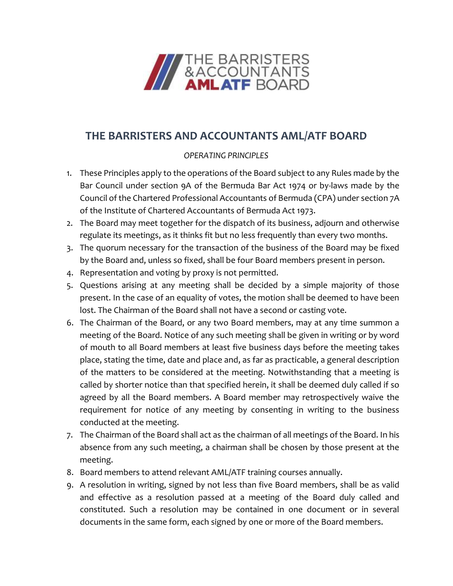

## **THE BARRISTERS AND ACCOUNTANTS AML/ATF BOARD**

## *OPERATING PRINCIPLES*

- 1. These Principles apply to the operations of the Board subject to any Rules made by the Bar Council under section 9A of the Bermuda Bar Act 1974 or by-laws made by the Council of the Chartered Professional Accountants of Bermuda (CPA) under section 7A of the Institute of Chartered Accountants of Bermuda Act 1973.
- 2. The Board may meet together for the dispatch of its business, adjourn and otherwise regulate its meetings, as it thinks fit but no less frequently than every two months.
- 3. The quorum necessary for the transaction of the business of the Board may be fixed by the Board and, unless so fixed, shall be four Board members present in person.
- 4. Representation and voting by proxy is not permitted.
- 5. Questions arising at any meeting shall be decided by a simple majority of those present. In the case of an equality of votes, the motion shall be deemed to have been lost. The Chairman of the Board shall not have a second or casting vote.
- 6. The Chairman of the Board, or any two Board members, may at any time summon a meeting of the Board. Notice of any such meeting shall be given in writing or by word of mouth to all Board members at least five business days before the meeting takes place, stating the time, date and place and, as far as practicable, a general description of the matters to be considered at the meeting. Notwithstanding that a meeting is called by shorter notice than that specified herein, it shall be deemed duly called if so agreed by all the Board members. A Board member may retrospectively waive the requirement for notice of any meeting by consenting in writing to the business conducted at the meeting.
- 7. The Chairman of the Board shall act as the chairman of all meetings of the Board. In his absence from any such meeting, a chairman shall be chosen by those present at the meeting.
- 8. Board members to attend relevant AML/ATF training courses annually.
- 9. A resolution in writing, signed by not less than five Board members, shall be as valid and effective as a resolution passed at a meeting of the Board duly called and constituted. Such a resolution may be contained in one document or in several documents in the same form, each signed by one or more of the Board members.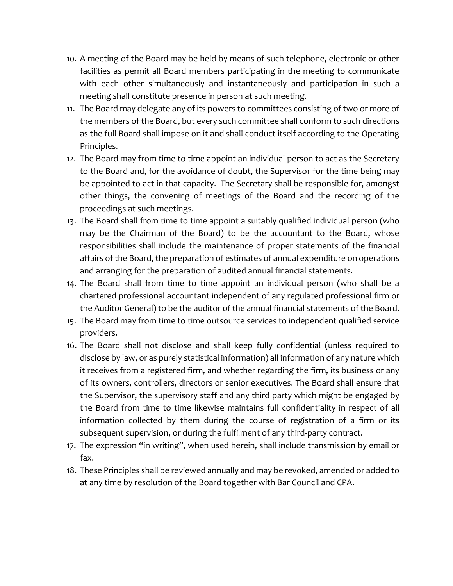- 10. A meeting of the Board may be held by means of such telephone, electronic or other facilities as permit all Board members participating in the meeting to communicate with each other simultaneously and instantaneously and participation in such a meeting shall constitute presence in person at such meeting.
- 11. The Board may delegate any of its powers to committees consisting of two or more of the members of the Board, but every such committee shall conform to such directions as the full Board shall impose on it and shall conduct itself according to the Operating Principles.
- 12. The Board may from time to time appoint an individual person to act as the Secretary to the Board and, for the avoidance of doubt, the Supervisor for the time being may be appointed to act in that capacity. The Secretary shall be responsible for, amongst other things, the convening of meetings of the Board and the recording of the proceedings at such meetings.
- 13. The Board shall from time to time appoint a suitably qualified individual person (who may be the Chairman of the Board) to be the accountant to the Board, whose responsibilities shall include the maintenance of proper statements of the financial affairs of the Board, the preparation of estimates of annual expenditure on operations and arranging for the preparation of audited annual financial statements.
- 14. The Board shall from time to time appoint an individual person (who shall be a chartered professional accountant independent of any regulated professional firm or the Auditor General) to be the auditor of the annual financial statements of the Board.
- 15. The Board may from time to time outsource services to independent qualified service providers.
- 16. The Board shall not disclose and shall keep fully confidential (unless required to disclose by law, or as purely statistical information) all information of any nature which it receives from a registered firm, and whether regarding the firm, its business or any of its owners, controllers, directors or senior executives. The Board shall ensure that the Supervisor, the supervisory staff and any third party which might be engaged by the Board from time to time likewise maintains full confidentiality in respect of all information collected by them during the course of registration of a firm or its subsequent supervision, or during the fulfilment of any third-party contract.
- 17. The expression "in writing", when used herein, shall include transmission by email or fax.
- 18. These Principles shall be reviewed annually and may be revoked, amended or added to at any time by resolution of the Board together with Bar Council and CPA.